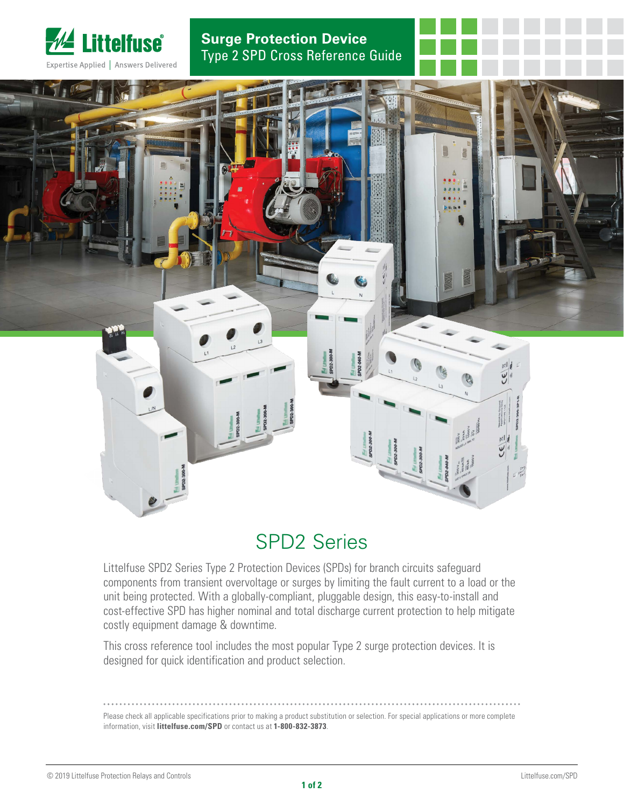

Expertise Applied | Answers Delivered

## **Surge Protection Device** Type 2 SPD Cross Reference Guide



## SPD2 Series

Littelfuse SPD2 Series Type 2 Protection Devices (SPDs) for branch circuits safeguard components from transient overvoltage or surges by limiting the fault current to a load or the unit being protected. With a globally-compliant, pluggable design, this easy-to-install and cost-effective SPD has higher nominal and total discharge current protection to help mitigate costly equipment damage & downtime.

This cross reference tool includes the most popular Type 2 surge protection devices. It is designed for quick identification and product selection.

Please check all applicable specifications prior to making a product substitution or selection. For special applications or more complete information, visit **littelfuse.com/SPD** or contact us at **1-800-832-3873**.